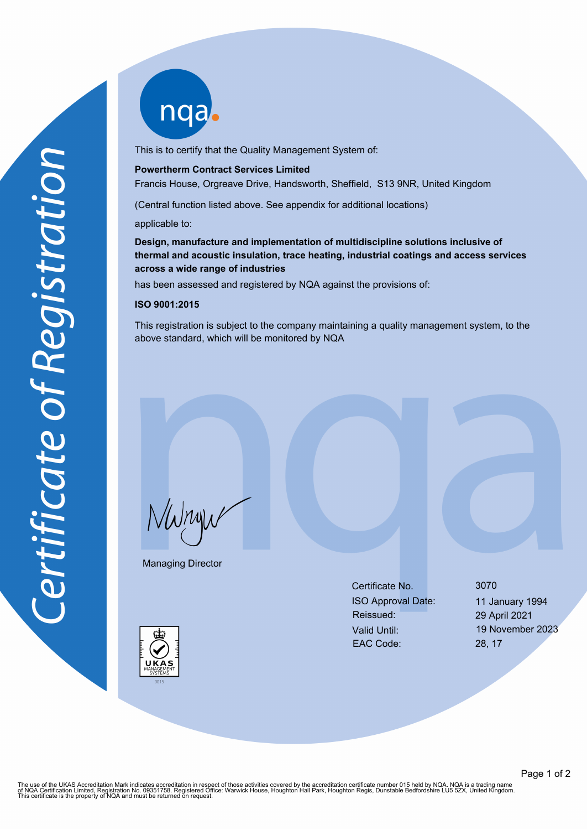nqab

This is to certify that the Quality Management System of:

### **Powertherm Contract Services Limited**

Francis House, Orgreave Drive, Handsworth, Sheffield, S13 9NR, United Kingdom

(Central function listed above. See appendix for additional locations)

applicable to:

**Design, manufacture and implementation of multidiscipline solutions inclusive of thermal and acoustic insulation, trace heating, industrial coatings and access services across a wide range of industries**

has been assessed and registered by NQA against the provisions of:

### **ISO 9001:2015**

This registration is subject to the company maintaining a quality management system, to the above standard, which will be monitored by NQA

NWnyw

Managing Director

Certificate No. 3070 ISO Approval Date: 11 January 1994 Reissued: 29 April 2021 Valid Until: 19 November 2023 EAC Code: 28, 17